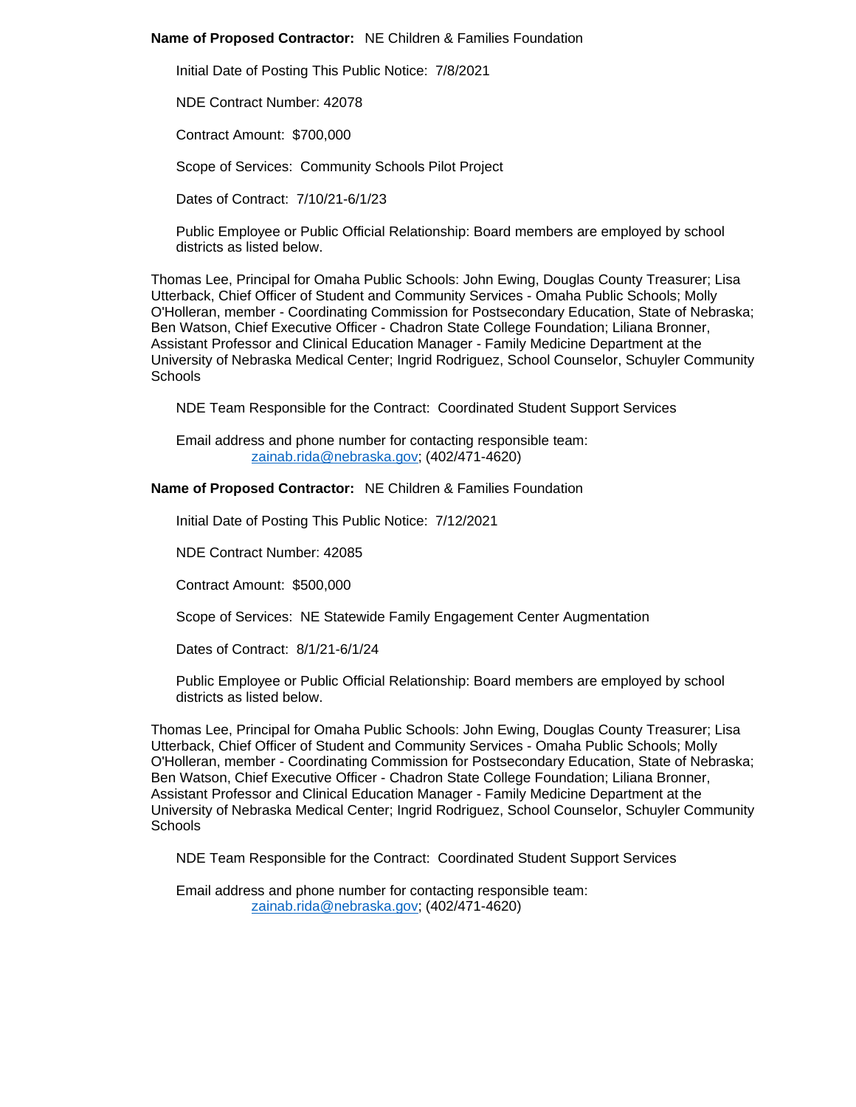## **Name of Proposed Contractor:** NE Children & Families Foundation

Initial Date of Posting This Public Notice: 7/8/2021

NDE Contract Number: 42078

Contract Amount: \$700,000

Scope of Services: Community Schools Pilot Project

Dates of Contract: 7/10/21-6/1/23

Public Employee or Public Official Relationship: Board members are employed by school districts as listed below.

Thomas Lee, Principal for Omaha Public Schools: John Ewing, Douglas County Treasurer; Lisa Utterback, Chief Officer of Student and Community Services - Omaha Public Schools; Molly O'Holleran, member - Coordinating Commission for Postsecondary Education, State of Nebraska; Ben Watson, Chief Executive Officer - Chadron State College Foundation; Liliana Bronner, Assistant Professor and Clinical Education Manager - Family Medicine Department at the University of Nebraska Medical Center; Ingrid Rodriguez, School Counselor, Schuyler Community **Schools** 

NDE Team Responsible for the Contract: Coordinated Student Support Services

Email address and phone number for contacting responsible team: [zainab.rida@nebraska.gov;](mailto:zainab.rida@nebraska.gov) (402/471-4620)

**Name of Proposed Contractor:** NE Children & Families Foundation

Initial Date of Posting This Public Notice: 7/12/2021

NDE Contract Number: 42085

Contract Amount: \$500,000

Scope of Services: NE Statewide Family Engagement Center Augmentation

Dates of Contract: 8/1/21-6/1/24

Public Employee or Public Official Relationship: Board members are employed by school districts as listed below.

Thomas Lee, Principal for Omaha Public Schools: John Ewing, Douglas County Treasurer; Lisa Utterback, Chief Officer of Student and Community Services - Omaha Public Schools; Molly O'Holleran, member - Coordinating Commission for Postsecondary Education, State of Nebraska; Ben Watson, Chief Executive Officer - Chadron State College Foundation; Liliana Bronner, Assistant Professor and Clinical Education Manager - Family Medicine Department at the University of Nebraska Medical Center; Ingrid Rodriguez, School Counselor, Schuyler Community **Schools** 

NDE Team Responsible for the Contract: Coordinated Student Support Services

Email address and phone number for contacting responsible team: [zainab.rida@nebraska.gov;](mailto:zainab.rida@nebraska.gov) (402/471-4620)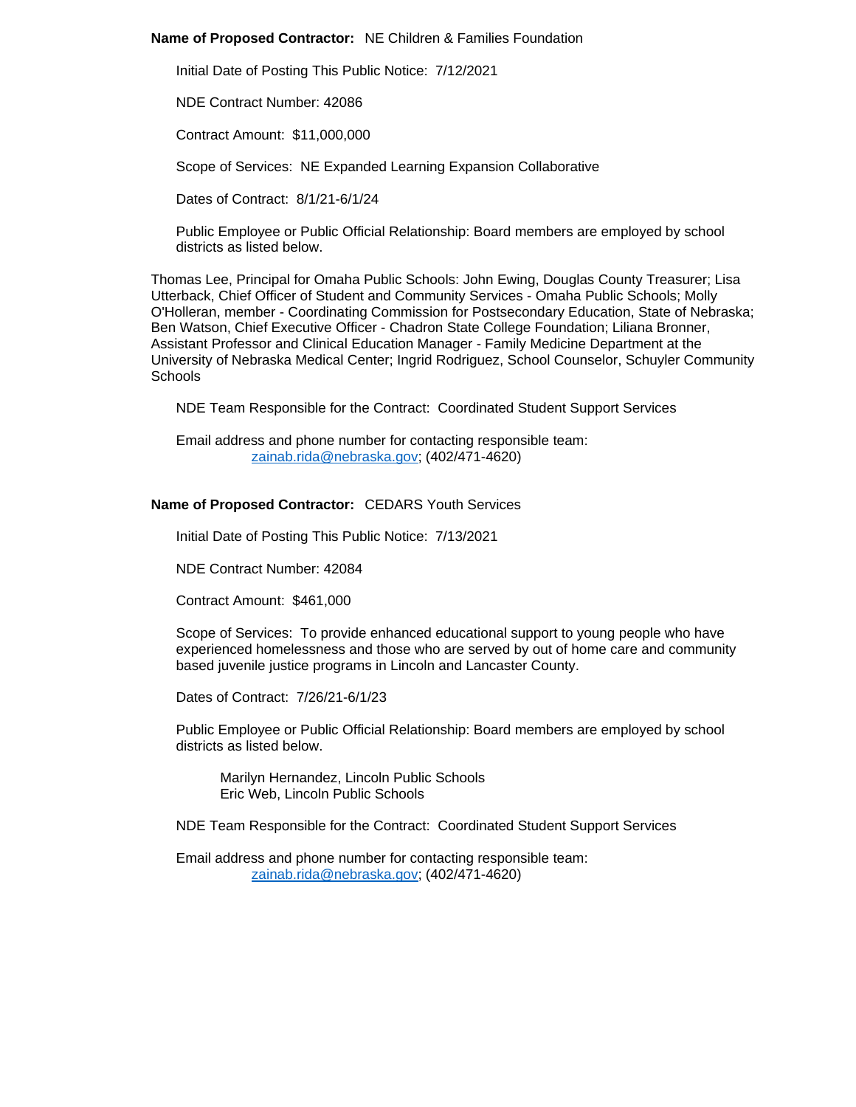## **Name of Proposed Contractor:** NE Children & Families Foundation

Initial Date of Posting This Public Notice: 7/12/2021

NDE Contract Number: 42086

Contract Amount: \$11,000,000

Scope of Services: NE Expanded Learning Expansion Collaborative

Dates of Contract: 8/1/21-6/1/24

Public Employee or Public Official Relationship: Board members are employed by school districts as listed below.

Thomas Lee, Principal for Omaha Public Schools: John Ewing, Douglas County Treasurer; Lisa Utterback, Chief Officer of Student and Community Services - Omaha Public Schools; Molly O'Holleran, member - Coordinating Commission for Postsecondary Education, State of Nebraska; Ben Watson, Chief Executive Officer - Chadron State College Foundation; Liliana Bronner, Assistant Professor and Clinical Education Manager - Family Medicine Department at the University of Nebraska Medical Center; Ingrid Rodriguez, School Counselor, Schuyler Community **Schools** 

NDE Team Responsible for the Contract: Coordinated Student Support Services

Email address and phone number for contacting responsible team: [zainab.rida@nebraska.gov;](mailto:zainab.rida@nebraska.gov) (402/471-4620)

## **Name of Proposed Contractor:** CEDARS Youth Services

Initial Date of Posting This Public Notice: 7/13/2021

NDE Contract Number: 42084

Contract Amount: \$461,000

Scope of Services: To provide enhanced educational support to young people who have experienced homelessness and those who are served by out of home care and community based juvenile justice programs in Lincoln and Lancaster County.

Dates of Contract: 7/26/21-6/1/23

Public Employee or Public Official Relationship: Board members are employed by school districts as listed below.

Marilyn Hernandez, Lincoln Public Schools Eric Web, Lincoln Public Schools

NDE Team Responsible for the Contract: Coordinated Student Support Services

Email address and phone number for contacting responsible team: [zainab.rida@nebraska.gov;](mailto:zainab.rida@nebraska.gov) (402/471-4620)